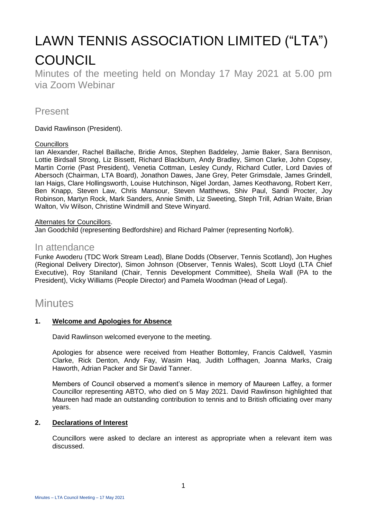# LAWN TENNIS ASSOCIATION LIMITED ("LTA") **COUNCIL**

Minutes of the meeting held on Monday 17 May 2021 at 5.00 pm via Zoom Webinar

## Present

David Rawlinson (President).

#### **Councillors**

Ian Alexander, Rachel Baillache, Bridie Amos, Stephen Baddeley, Jamie Baker, Sara Bennison, Lottie Birdsall Strong, Liz Bissett, Richard Blackburn, Andy Bradley, Simon Clarke, John Copsey, Martin Corrie (Past President), Venetia Cottman, Lesley Cundy, Richard Cutler, Lord Davies of Abersoch (Chairman, LTA Board), Jonathon Dawes, Jane Grey, Peter Grimsdale, James Grindell, Ian Haigs, Clare Hollingsworth, Louise Hutchinson, Nigel Jordan, James Keothavong, Robert Kerr, Ben Knapp, Steven Law, Chris Mansour, Steven Matthews, Shiv Paul, Sandi Procter, Joy Robinson, Martyn Rock, Mark Sanders, Annie Smith, Liz Sweeting, Steph Trill, Adrian Waite, Brian Walton, Viv Wilson, Christine Windmill and Steve Winyard.

#### Alternates for Councillors.

Jan Goodchild (representing Bedfordshire) and Richard Palmer (representing Norfolk).

### In attendance

Funke Awoderu (TDC Work Stream Lead), Blane Dodds (Observer, Tennis Scotland), Jon Hughes (Regional Delivery Director), Simon Johnson (Observer, Tennis Wales), Scott Lloyd (LTA Chief Executive), Roy Staniland (Chair, Tennis Development Committee), Sheila Wall (PA to the President), Vicky Williams (People Director) and Pamela Woodman (Head of Legal).

# **Minutes**

#### **1. Welcome and Apologies for Absence**

David Rawlinson welcomed everyone to the meeting.

Apologies for absence were received from Heather Bottomley, Francis Caldwell, Yasmin Clarke, Rick Denton, Andy Fay, Wasim Haq, Judith Loffhagen, Joanna Marks, Craig Haworth, Adrian Packer and Sir David Tanner.

Members of Council observed a moment's silence in memory of Maureen Laffey, a former Councillor representing ABTO, who died on 5 May 2021. David Rawlinson highlighted that Maureen had made an outstanding contribution to tennis and to British officiating over many years.

#### **2. Declarations of Interest**

Councillors were asked to declare an interest as appropriate when a relevant item was discussed.